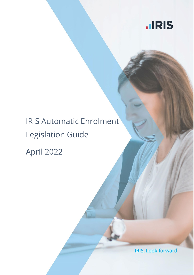

# IRIS Automatic Enrolment Legislation Guide

April 2022

**IRIS. Look forward**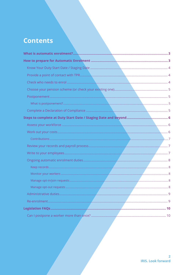# **Contents**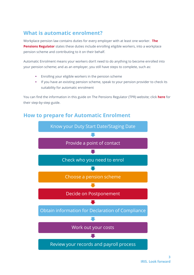# <span id="page-2-0"></span>**What is automatic enrolment?**

Workplace pension law contains duties for every employer with at least one worker. **[The](http://www.thepensionsregulator.gov.uk/employers/your-step-by-step-guide-to-automatic-enrolment.aspx)  [Pensions Regulator](http://www.thepensionsregulator.gov.uk/employers/your-step-by-step-guide-to-automatic-enrolment.aspx)** states these duties include enrolling eligible workers, into a workplace pension scheme and contributing to it on their behalf.

Automatic Enrolment means your workers don't need to do anything to become enrolled into your pension scheme; and as an employer, you still have steps to complete, such as:

- Enrolling your eligible workers in the pension scheme
- If you have an existing pension scheme, speak to your pension provider to check its suitability for automatic enrolment

You can find the information in this guide on The Pensions Regulator (TPR) website; click **[here](http://www.thepensionsregulator.gov.uk/employers.aspx)** for their step-by-step guide.

# <span id="page-2-1"></span>**How to prepare for Automatic Enrolment**

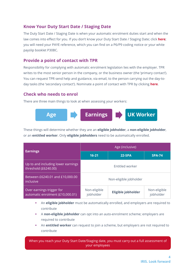## <span id="page-3-0"></span>**Know Your Duty Start Date / Staging Date**

The Duty Start Date / Staging Date is when your automatic enrolment duties start and when the law comes into effect for you. If you don't know your Duty Start Date / Staging Date; click **[here](http://www.thepensionsregulator.gov.uk/employers/staging-date.aspx)**; you will need your PAYE reference, which you can find on a P6/P9 coding notice or your white payslip booklet P30BC.

#### <span id="page-3-1"></span>**Provide a point of contact with TPR**

Responsibility for complying with automatic enrolment legislation lies with the employer. TPR writes to the most senior person in the company, or the business owner (the 'primary contact'). You can request TPR send help and guidance, via email, to the person carrying out the day-today tasks (the 'secondary contact'). Nominate a point of contact with TPR by clicking **[here](https://automation.thepensionsregulator.gov.uk/Nomination)**.

#### <span id="page-3-2"></span>**Check who needs to enrol**

There are three main things to look at when assessing your workers:



These things will determine whether they are an **eligible jobholder**, a **non-eligible jobholder**, or an **entitled worker**. Only **eligible jobholders** need to be automatically enrolled.

|                                                               | Age (inclusive)           |                    |                           |
|---------------------------------------------------------------|---------------------------|--------------------|---------------------------|
| <b>Earnings</b>                                               | $16 - 21$                 | <b>22-SPA</b>      | <b>SPA-74</b>             |
| Up to and including lower earnings<br>threshold (£6240.00)    | <b>Entitled worker</b>    |                    |                           |
| Between £6240.01 and £10,000.00<br>inclusive                  | Non-eligible jobholder    |                    |                           |
| Over earnings trigger for<br>automatic enrolment (£10,000.01) | Non-eligible<br>jobholder | Eligible jobholder | Non-eligible<br>jobholder |

- An **eligible jobholder** must be automatically enrolled, and employers are required to contribute
- A **non-eligible jobholder** can opt into an auto-enrolment scheme; employers are required to contribute
- An **entitled worker** can request to join a scheme, but employers are not required to contribute

When you reach your Duty Start Date/Staging date, you must carry out a full assessment of your employees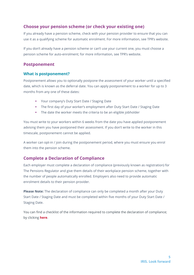## <span id="page-4-0"></span>**Choose your pension scheme (or check your existing one)**

If you already have a pension scheme, check with your pension provider to ensure that you can use it as a qualifying scheme for automatic enrolment. For more information, see TPR's website.

If you don't already have a pension scheme or can't use your current one, you must choose a pension scheme for auto-enrolment; for more information, see TPR's website.

#### <span id="page-4-1"></span>**Postponement**

#### <span id="page-4-2"></span>**What is postponement?**

Postponement allows you to optionally postpone the assessment of your worker until a specified date, which is known as the deferral date. You can apply postponement to a worker for up to 3 months from any one of these dates:

- Your company's Duty Start Date / Staging Date
- The first day of your worker's employment after Duty Start Date / Staging Date
- The date the worker meets the criteria to be an eligible jobholder

You must write to your workers within 6 weeks from the date you have applied postponement advising them you have postponed their assessment. If you don't write to the worker in this timescale, postponement cannot be applied.

A worker can opt-in / join during the postponement period, where you must ensure you enrol them into the pension scheme.

# <span id="page-4-3"></span>**Complete a Declaration of Compliance**

Each employer must complete a declaration of compliance (previously known as registration) for The Pensions Regulator and give them details of their workplace pension scheme, together with the number of people automatically enrolled. Employers also need to provide automatic enrolment details to their pension provider.

**Please Note:** The declaration of compliance can only be completed a month after your Duty Start Date / Staging Date and must be completed within five months of your Duty Start Date / Staging Date.

You can find a checklist of the information required to complete the declaration of compliance; by clicking **[here](http://www.thepensionsregulator.gov.uk/docs/automatic-enrolment-online-registration-checklist.pdf)**.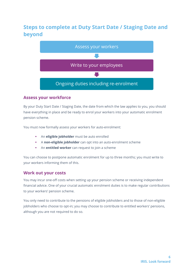# <span id="page-5-0"></span>**Steps to complete at Duty Start Date / Staging Date and beyond**



#### <span id="page-5-1"></span>**Assess your workforce**

By your Duty Start Date / Staging Date, the date from which the law applies to you, you should have everything in place and be ready to enrol your workers into your automatic enrolment pension scheme.

You must now formally assess your workers for auto-enrolment:

- An **eligible jobholder** must be auto enrolled
- A **non-eligible jobholder** can opt into an auto-enrolment scheme
- An **entitled worker** can request to join a scheme

You can choose to postpone automatic enrolment for up to three months; you must write to your workers informing them of this.

#### <span id="page-5-2"></span>**Work out your costs**

You may incur one-off costs when setting up your pension scheme or receiving independent financial advice. One of your crucial automatic enrolment duties is to make regular contributions to your workers' pension scheme.

You only need to contribute to the pensions of eligible jobholders and to those of non-eligible jobholders who choose to opt-in; you may choose to contribute to entitled workers' pensions, although you are not required to do so.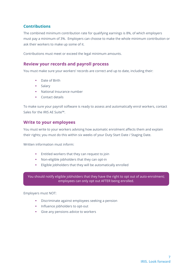#### <span id="page-6-0"></span>**Contributions**

The combined minimum contribution rate for qualifying earnings is 8%, of which employers must pay a minimum of 3%. Employers can choose to make the whole minimum contribution or ask their workers to make up some of it.

Contributions must meet or exceed the legal minimum amounts.

#### <span id="page-6-1"></span>**Review your records and payroll process**

You must make sure your workers' records are correct and up to date, including their:

- Date of Birth
- **Salary**
- National Insurance number
- Contact details

To make sure your payroll software is ready to assess and automatically enrol workers, contact Sales for the IRIS AE Suite™.

#### <span id="page-6-2"></span>**Write to your employees**

You must write to your workers advising how automatic enrolment affects them and explain their rights; you must do this within six weeks of your Duty Start Date / Staging Date.

Written information must inform:

- Entitled workers that they can request to join
- Non-eligible jobholders that they can opt-in
- Eligible jobholders that they will be automatically enrolled

You should notify eligible jobholders that they have the right to opt out of auto-enrolment; employees can only opt out AFTER being enrolled.

Employers must NOT:

- Discriminate against employees seeking a pension
- **Influence jobholders to opt-out**
- Give any pensions advice to workers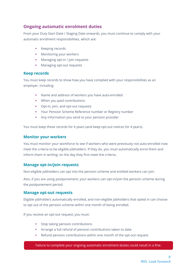## <span id="page-7-0"></span>**Ongoing automatic enrolment duties**

From your Duty Start Date / Staging Date onwards, you must continue to comply with your automatic enrolment responsibilities, which are:

- **Keeping records**
- **Monitoring your workers**
- **Managing opt-in / join requests**
- Managing opt-out requests

#### <span id="page-7-1"></span>**Keep records**

You must keep records to show how you have complied with your responsibilities as an employer, including:

- Name and address of workers you have auto-enrolled
- **When you paid contributions**
- **•** Opt-in, join, and opt-out requests
- Your Pension Scheme Reference number or Registry number
- Any information you send to your pension provider

You must keep these records for 6 years (and keep opt-out notices for 4 years).

#### <span id="page-7-2"></span>**Monitor your workers**

You must monitor your workforce to see if workers who were previously not auto-enrolled now meet the criteria to be eligible jobholders. If they do, you must automatically enrol them and inform them in writing; on the day they first meet the criteria.

#### <span id="page-7-3"></span>**Manage opt-in/join requests**

Non-eligible jobholders can opt into the pension scheme and entitled workers can join.

Also, if you are using postponement, your workers can opt-in/join the pension scheme during the postponement period.

#### <span id="page-7-4"></span>**Manage opt-out requests**

Eligible jobholders automatically enrolled, and non-eligible jobholders that opted in can choose to opt out of the pension scheme within one month of being enrolled.

If you receive an opt-out request, you must:

- **Stop taking pension contributions**
- Arrange a full refund of pension contributions taken to date
- Refund pension contributions within one month of the opt-out request

Failure to complete your ongoing automatic enrolment duties could result in a fine.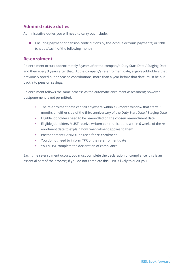# <span id="page-8-0"></span>**Administrative duties**

Administrative duties you will need to carry out include:

■ Ensuring payment of pension contributions by the 22nd (electronic payments) or 19th (cheque/cash) of the following month

#### <span id="page-8-1"></span>**Re-enrolment**

Re-enrolment occurs approximately 3 years after the company's Duty Start Date / Staging Date and then every 3 years after that. At the company's re-enrolment date, eligible jobholders that previously opted out or ceased contributions, more than a year before that date, must be put back into pension savings.

Re-enrolment follows the same process as the automatic enrolment assessment; however, postponement is not permitted.

- The re-enrolment date can fall anywhere within a 6-month window that starts 3 months on either side of the third anniversary of the Duty Start Date / Staging Date
- Eligible jobholders need to be re-enrolled on the chosen re-enrolment date
- Eligible jobholders MUST receive written communications within 6 weeks of the reenrolment date to explain how re-enrolment applies to them
- Postponement CANNOT be used for re-enrolment
- You do not need to inform TPR of the re-enrolment date
- You MUST complete the declaration of compliance

Each time re-enrolment occurs, you must complete the declaration of compliance; this is an essential part of the process; if you do not complete this, TPR is likely to audit you.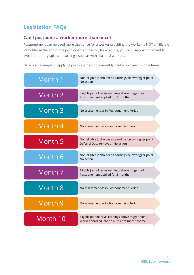# <span id="page-9-0"></span>**Legislation FAQs**

### <span id="page-9-1"></span>**Can I postpone a worker more than once?**

Postponement can be used more than once for a worker providing the worker is NOT an Eligible Jobholder at the end of the postponement period, for example, you can use postponement to avoid temporary spikes in earnings, such as with seasonal workers.

Here is an example of applying postponement to a monthly paid employee multiple times:

| Month 1            | · Non-eligible jobholder as earnings below trigger point<br>$\cdot$ No action                           |
|--------------------|---------------------------------------------------------------------------------------------------------|
| Month 2            | Eligible jobholder as earnings above trigger point<br>· Postponement applied for 3 months               |
| Month <sub>3</sub> | . No assessment as in Postponement Period                                                               |
| Month 4            | . No assessment as in Postponement Period                                                               |
| Month 5            | · Non-eligible jobholder as earnings below trigger point<br>· Deferral Date removed - No action         |
| Month 6            | · Non-eligible jobholder as earnings below trigger point<br>• No action                                 |
| Month 7            | Eligible jobholder as earnings above trigger point<br>· Postponement applied for 3 months               |
| Month 8            | . No assessment as in Postponement Period                                                               |
| Month <sub>9</sub> | . No assessment as in Postponement Period                                                               |
| Month 10           | · Eligible jobholder as earnings above trigger point<br>. Worker enrolled into an auto enrolment scheme |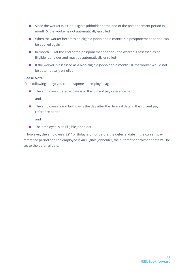- Since the worker is a Non-eligible Jobholder at the end of the postponement period in month 5, the worker is not automatically enrolled
- When the worker becomes an eligible jobholder in month 7, a postponement period can be applied again
- In month 10 (at the end of the postponement period); the worker is assessed as an Eligible Jobholder and must be automatically enrolled
- If the worker is assessed as a Non-eligible Jobholder in month 10, the worker would not be automatically enrolled

#### **Please Note:**

If the following apply; you can postpone an employee again:

- The employee's deferral date is in the current pay reference period and
- The employee's 22nd birthday is the day after the deferral date in the current pay reference period

and

■ The employee is an Eligible Jobholder

If, however, the employee's  $22<sup>nd</sup>$  birthday is on or before the deferral date in the current pay reference period and the employee is an Eligible Jobholder, the automatic enrolment date will be set to the deferral date.